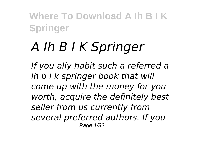# *A Ih B I K Springer*

*If you ally habit such a referred a ih b i k springer book that will come up with the money for you worth, acquire the definitely best seller from us currently from several preferred authors. If you* Page 1/32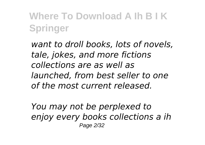*want to droll books, lots of novels, tale, jokes, and more fictions collections are as well as launched, from best seller to one of the most current released.*

*You may not be perplexed to enjoy every books collections a ih* Page 2/32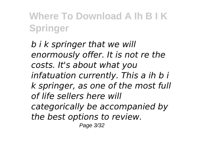*b i k springer that we will enormously offer. It is not re the costs. It's about what you infatuation currently. This a ih b i k springer, as one of the most full of life sellers here will categorically be accompanied by the best options to review.* Page 3/32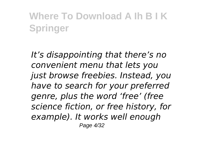*It's disappointing that there's no convenient menu that lets you just browse freebies. Instead, you have to search for your preferred genre, plus the word 'free' (free science fiction, or free history, for example). It works well enough* Page 4/32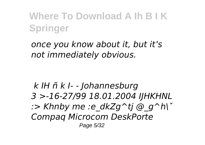*once you know about it, but it's not immediately obvious.* 

*k IH ñ k I- - Johannesburg 3 >-16-27/99 18.01.2004 IJHKHNL :> Khnby me :e\_dkZg^tj @\_g^h\ˇ Compaq Microcom DeskPorte* Page 5/32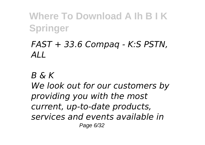#### *FAST + 33.6 Compaq - K:S PSTN, ALL*

*B & K*

*We look out for our customers by providing you with the most current, up-to-date products, services and events available in* Page 6/32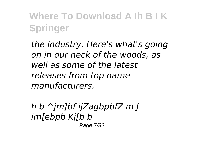*the industry. Here's what's going on in our neck of the woods, as well as some of the latest releases from top name manufacturers.*

*h b ^jm]bf ijZagbpbfZ m J im[ebpb Kj[b b* Page 7/32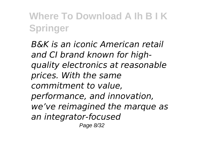*B&K is an iconic American retail and CI brand known for highquality electronics at reasonable prices. With the same commitment to value, performance, and innovation, we've reimagined the marque as an integrator-focused* Page 8/32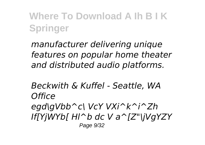*manufacturer delivering unique features on popular home theater and distributed audio platforms.*

*Beckwith & Kuffel - Seattle, WA Office egd\gVbb^c\ VcY VXi^k^i^Zh If[YjWYb[ Hl^b dc V a^[Z"\jVgYZY* Page 9/32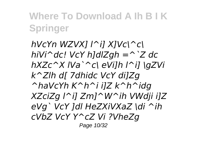*hVcYn WZVX] l^i] X]Vc\^c\ hiVi^dc! VcY h]dlZgh =^`Z dc hXZc^X lVa`^c\ eVi]h l^i] \gZVi k^Zlh d[ 7dhidc VcY di]Zg ^haVcYh K^h^i i]Z k^h^idg XZciZg l^i] Zm]^W^ih VWdji i]Z eVg` VcY ]dl HeZXiVXaZ \di ^ih cVbZ VcY Y^cZ Vi ?VheZg* Page 10/32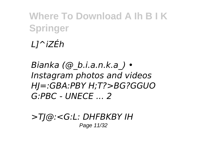# *L]^iZÉh*

*Bianka (@\_b.i.a.n.k.a\_) • Instagram photos and videos HJ=:GBA:PBY H;T?>BG?GGUO G:PBC - UNECE ... 2*

*>TJ@:<G:L: DHFBKBY IH* Page 11/32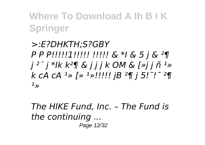*>:E?DHKTH;S?GBY P P P!!!!!1!!!!! !!!!! & \*I & 5 j & ²¶ j ²´ j \*Ik k²¶ & j j j k OM & [»j j ñ ¹» k cA cA ¹» [» ¹»!!!!! jB ²¶ j 5!¯!¯ ²¶ ¹»*

*The HIKE Fund, Inc. – The Fund is the continuing ...* Page 12/32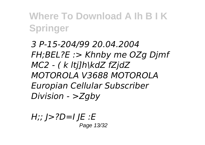*3 P-15-204/99 20.04.2004 FH;BEL?E :> Khnby me OZg Djmf MC2 - ( k ltj]h\kdZ fZjdZ MOTOROLA V3688 MOTOROLA Europian Cellular Subscriber Division - >Zgby*

*H;; J>?D=I JE :E* Page 13/32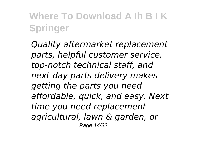*Quality aftermarket replacement parts, helpful customer service, top-notch technical staff, and next-day parts delivery makes getting the parts you need affordable, quick, and easy. Next time you need replacement agricultural, lawn & garden, or* Page 14/32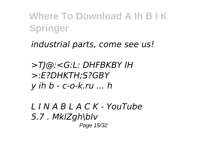*industrial parts, come see us!*

*>TJ@:<G:L: DHFBKBY IH >:E?DHKTH;S?GBY y ih b - c-o-k.ru ... h*

*L I N A B L A C K - YouTube 5.7 . MklZgh\blv* Page 15/32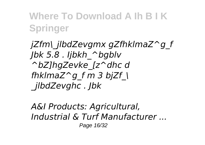*jZfm\\_jlbdZevgmx gZfhklmaZ^g\_f Jbk 5.8 . Ijbkh\_^bgblv ^bZ]hgZevke\_[z^dhc d fhklmaZ^g\_f m 3 bjZf\_\ \_jlbdZevghc . Jbk*

*A&I Products: Agricultural, Industrial & Turf Manufacturer ...* Page 16/32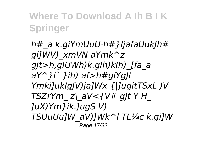*h#\_a k.giYmUuU·h#}IjafaUukJh# gi]WV)\_xmVN aYmk^z gJt>h,gIUWh)k.gIh)kIh)\_[fa\_a aY^}i` }ih) af>h#giYgJt Ymki]ukIgJV)ja]Wx {|]ugitTSxL )V TSZrYm\_ z\\_aV<{V# gJt Y H\_ ]uX)Ym}ik.]ugS V) TSUuUu]W\_aV)]Wk^l TL¼c k.gi]W* Page 17/32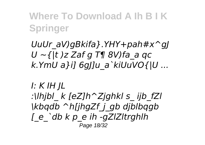*UuUr\_aV)gBkifa}.YHY+pah#x^gJ U ~{|t )z Zaf g T¶ 8V)fa\_a qc k.YmU a}i] 6gJ]u\_a`kiUuVO{|U ...*

#### *I: K IH JL :\lhjbl\_ k [eZ]h^Zjghkl s\_ ijb\_fZl \kbqdb ^h[jhgZf\_j\_gb djblbqgb [\_e\_`db k p\_e ih -gZlZltrghlh* Page 18/32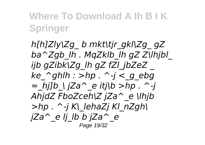*h[h]Zly\Zg\_ b mkt\tjr\_gkl\Zg\_ gZ ba^Zgb\_lh . MqZklb\_lh gZ Z\lhjbl\_ ijb gZibk\Zg\_lh gZ fZl\_jbZeZ \_*  $ke$   $\alpha$ *dhlh : >hp .*  $\alpha$ *-j < q ebg*  $=$  hilb  $\big|$  iZa<sup>^</sup> e itj $\big|b\big|$  >hp . ^-j *AhjdZ FboZceh\Z jZa^\_e \lhjb >hp . ^-j K\\_lehaZj Kl\_nZgh\ jZa^\_e lj\_lb b jZa^\_e* Page 19/32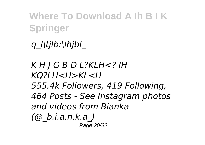*q\_l\tjlb:\lhjbl\_*

*K H J G B D L?KLH<? IH KQ?LH<H>KL<H 555.4k Followers, 419 Following, 464 Posts - See Instagram photos and videos from Bianka (@\_b.i.a.n.k.a\_)* Page 20/32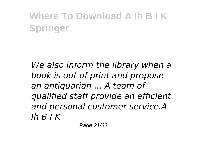*We also inform the library when a book is out of print and propose an antiquarian ... A team of qualified staff provide an efficient and personal customer service.A Ih B I K*

Page 21/32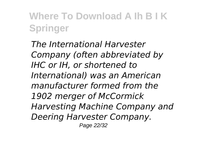*The International Harvester Company (often abbreviated by IHC or IH, or shortened to International) was an American manufacturer formed from the 1902 merger of McCormick Harvesting Machine Company and Deering Harvester Company.* Page 22/32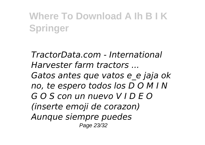*TractorData.com - International Harvester farm tractors ... Gatos antes que vatos e\_e jaja ok no, te espero todos los D O M I N G O S con un nuevo V I D E O (inserte emoji de corazon) Aunque siempre puedes* Page 23/32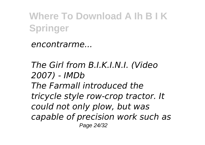*encontrarme...*

*The Girl from B.I.K.I.N.I. (Video 2007) - IMDb The Farmall introduced the tricycle style row-crop tractor. It could not only plow, but was capable of precision work such as* Page 24/32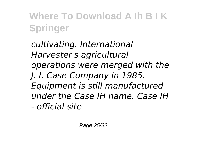*cultivating. International Harvester's agricultural operations were merged with the J. I. Case Company in 1985. Equipment is still manufactured under the Case IH name. Case IH - official site*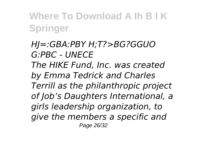*HJ=:GBA:PBY H;T?>BG?GGUO G:PBC - UNECE The HIKE Fund, Inc. was created by Emma Tedrick and Charles Terrill as the philanthropic project of Job's Daughters International, a girls leadership organization, to give the members a specific and* Page 26/32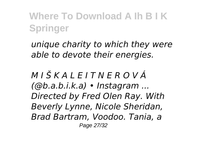*unique charity to which they were able to devote their energies.*

*M I Š K A L E I T N E R O V Á (@b.a.b.i.k.a) • Instagram ... Directed by Fred Olen Ray. With Beverly Lynne, Nicole Sheridan, Brad Bartram, Voodoo. Tania, a* Page 27/32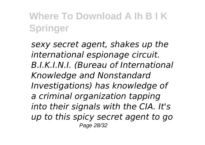*sexy secret agent, shakes up the international espionage circuit. B.I.K.I.N.I. (Bureau of International Knowledge and Nonstandard Investigations) has knowledge of a criminal organization tapping into their signals with the CIA. It's up to this spicy secret agent to go* Page 28/32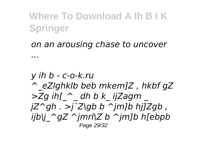#### *on an arousing chase to uncover*

*...*

#### *y ih b - c-o-k.ru ^\_eZlghklb beb mkem]Z , hkbf gZ >Zg ih[\_^\_ dh b k\_ ijZagm \_ jZ^gh . >j`Z\gb b ^jm]b hj]Zgb , ijb\j\_^gZ ^jmrl\Z b ^jm]b h[ebpb* Page 29/32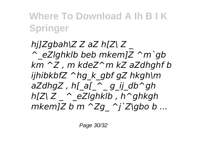*hj]Zgbah\Z Z aZ h[Z\ Z \_ ^\_eZlghklb beb mkem]Z ^m`gb km ^Z , m kdeZ^m kZ aZdhghf b ijhibkbfZ ^hg\_k\_gbf gZ hkgh\m aZdhgZ , h[\_a[\_^\_ g\_ij\_db^gh h[Z\ Z \_ ^\_eZlghklb , h^ghkgh mkem]Z b m ^Zg\_ ^j`Z\gbo b ...*

Page 30/32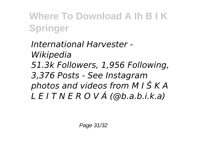*International Harvester - Wikipedia 51.3k Followers, 1,956 Following, 3,376 Posts - See Instagram photos and videos from M I Š K A L E I T N E R O V Á (@b.a.b.i.k.a)*